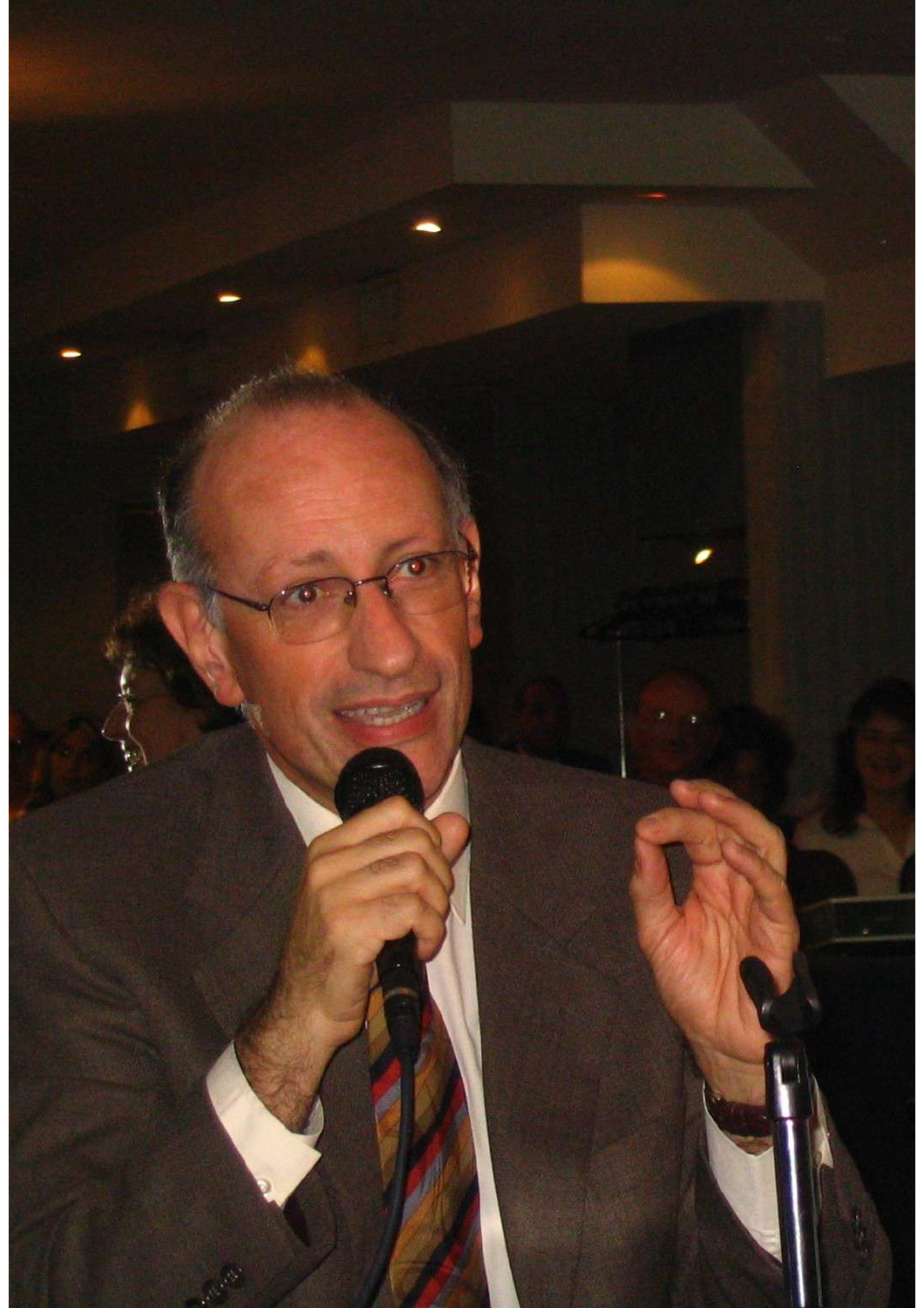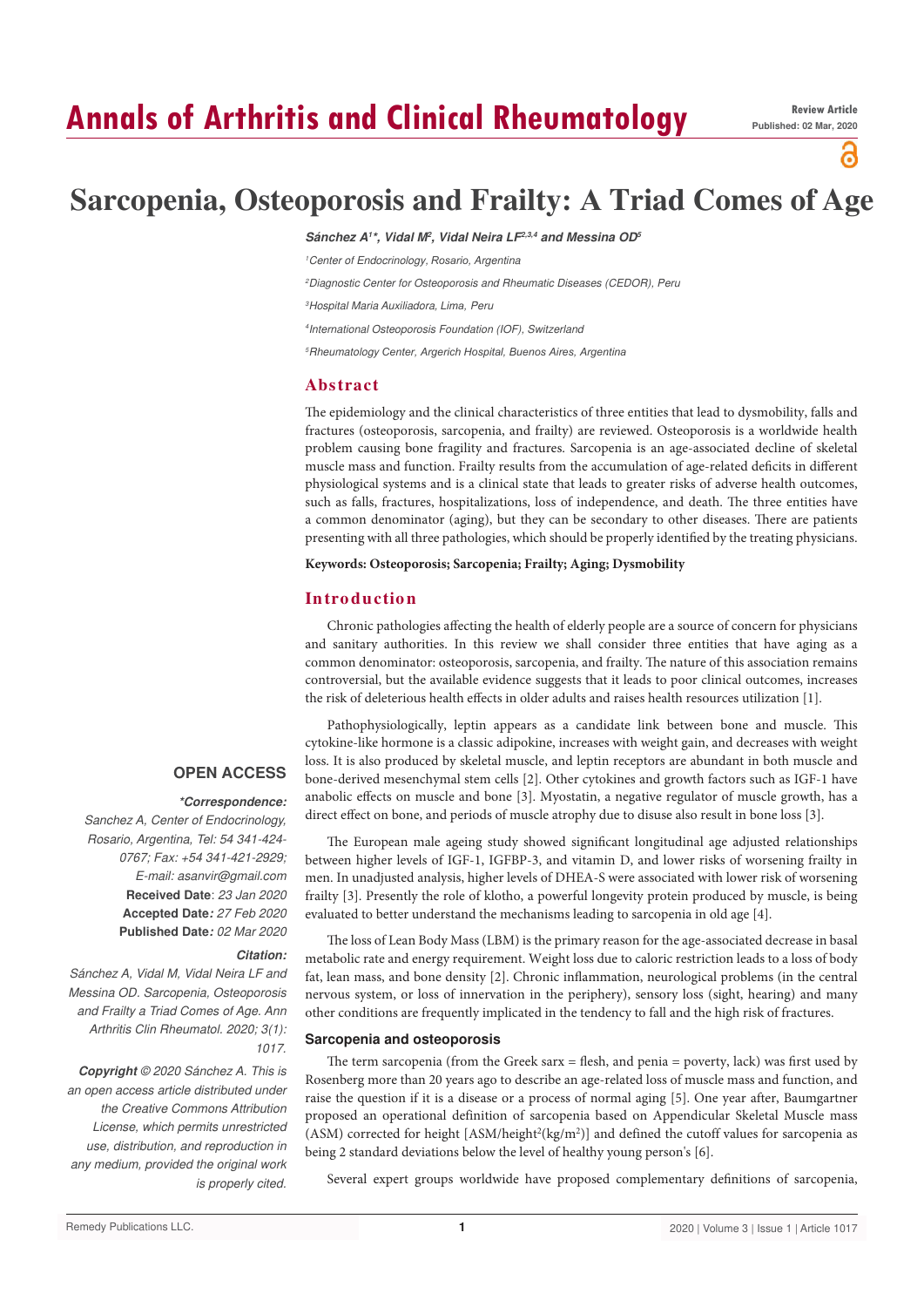# **Annals of Arthritis and Clinical Rheumatology**

۲a

# **Sarcopenia, Osteoporosis and Frailty: A Triad Comes of Age**

**Sánchez A<sup>1</sup> \*, Vidal M<sup>2</sup> , Vidal Neira LF2,3,4 and Messina OD<sup>5</sup>**

<sup>1</sup>Center of Endocrinology, *Rosario,* Argentina <sup>2</sup>Diagnostic Center for Osteoporosis and Rheumatic Diseases (CEDOR), Peru <sup>3</sup>Hospital Maria Auxiliadora, *Lima,* Peru

4 International Osteoporosis Foundation (IOF), Switzerland

5Rheumatology *Center, Argerich Hospital, Buenos Aires, Argentina*

# **Abstract**

The epidemiology and the clinical characteristics of three entities that lead to dysmobility, falls and fractures (osteoporosis, sarcopenia, and frailty) are reviewed. Osteoporosis is a worldwide health problem causing bone fragility and fractures. Sarcopenia is an age-associated decline of skeletal muscle mass and function. Frailty results from the accumulation of age-related deficits in different physiological systems and is a clinical state that leads to greater risks of adverse health outcomes, such as falls, fractures, hospitalizations, loss of independence, and death. The three entities have a common denominator (aging), but they can be secondary to other diseases. There are patients presenting with all three pathologies, which should be properly identified by the treating physicians.

**Keywords: Osteoporosis; Sarcopenia; Frailty; Aging; Dysmobility**

## **In tro ductio n**

Chronic pathologies affecting the health of elderly people are a source of concern for physicians and sanitary authorities. In this review we shall consider three entities that have aging as a common denominator: osteoporosis, sarcopenia, and frailty. The nature of this association remains controversial, but the available evidence suggests that it leads to poor clinical outcomes, increases the risk of deleterious health effects in older adults and raises health resources utilization [1].

Pathophysiologically, leptin appears as a candidate link between bone and muscle. This cytokine-like hormone is a classic adipokine, increases with weight gain, and decreases with weight loss. It is also produced by skeletal muscle, and leptin receptors are abundant in both muscle and bone-derived mesenchymal stem cells [2]. Other cytokines and growth factors such as IGF-1 have anabolic effects on muscle and bone [3]. Myostatin, a negative regulator of muscle growth, has a direct effect on bone, and periods of muscle atrophy due to disuse also result in bone loss [3].

# **OPEN ACCESS**

# **\*Correspondence:**

Sanchez A, Center of Endocrinology, Rosario, Argentina, Tel: 54 341-424- 0767; Fax: +54 341-421-2929; E-mail: asanvir@gmail.com **Received Date**: 23 Jan 2020 **Accepted Date:** 27 Feb 2020 **Published Date:** 02 Mar 2020

#### **Citation:**

Sánchez A, Vidal M, Vidal Neira LF and Messina OD. Sarcopenia, Osteoporosis and Frailty a Triad Comes of Age. Ann Arthritis Clin Rheumatol. 2020; 3(1): 1017.

**Copyright** © 2020 Sánchez A. This is an open access article distributed under the Creative Commons Attribution License, which permits unrestricted use, distribution, and reproduction in any medium, provided the original work is properly cited.

The European male ageing study showed significant longitudinal age adjusted relationships between higher levels of IGF-1, IGFBP-3, and vitamin D, and lower risks of worsening frailty in men. In unadjusted analysis, higher levels of DHEA-S were associated with lower risk of worsening frailty [3]. Presently the role of klotho, a powerful longevity protein produced by muscle, is being evaluated to better understand the mechanisms leading to sarcopenia in old age [4].

The loss of Lean Body Mass (LBM) is the primary reason for the age-associated decrease in basal metabolic rate and energy requirement. Weight loss due to caloric restriction leads to a loss of body fat, lean mass, and bone density [2]. Chronic inflammation, neurological problems (in the central nervous system, or loss of innervation in the periphery), sensory loss (sight, hearing) and many other conditions are frequently implicated in the tendency to fall and the high risk of fractures.

#### **Sarcopenia and osteoporosis**

The term sarcopenia (from the Greek sarx = flesh, and penia = poverty, lack) was first used by Rosenberg more than 20 years ago to describe an age-related loss of muscle mass and function, and raise the question if it is a disease or a process of normal aging [5]. One year after, Baumgartner proposed an operational definition of sarcopenia based on Appendicular Skeletal Muscle mass (ASM) corrected for height  $[ASM/height^2(kg/m^2)]$  and defined the cutoff values for sarcopenia as being 2 standard deviations below the level of healthy young person's [6].

Several expert groups worldwide have proposed complementary definitions of sarcopenia,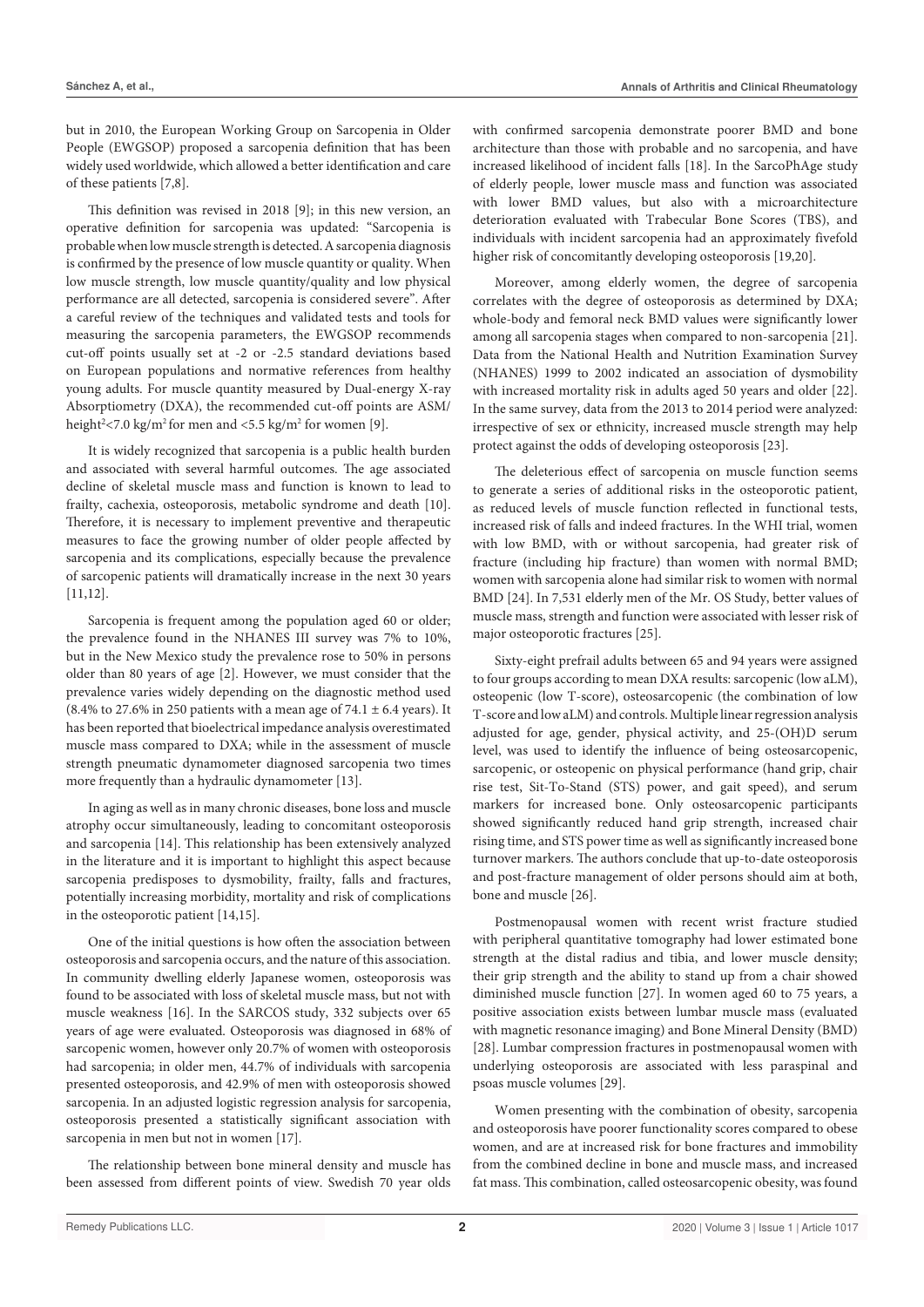but in 2010, the European Working Group on Sarcopenia in Older People (EWGSOP) proposed a sarcopenia definition that has been widely used worldwide, which allowed a better identification and care of these patients [7,8].

This definition was revised in 2018 [9]; in this new version, an operative definition for sarcopenia was updated: "Sarcopenia is probable when low muscle strength is detected. A sarcopenia diagnosis is confirmed by the presence of low muscle quantity or quality. When low muscle strength, low muscle quantity/quality and low physical performance are all detected, sarcopenia is considered severe". After a careful review of the techniques and validated tests and tools for measuring the sarcopenia parameters, the EWGSOP recommends cut-off points usually set at -2 or -2.5 standard deviations based on European populations and normative references from healthy young adults. For muscle quantity measured by Dual-energy X-ray Absorptiometry (DXA), the recommended cut-off points are ASM/ height<sup>2</sup><7.0 kg/m<sup>2</sup> for men and <5.5 kg/m<sup>2</sup> for women [9].

It is widely recognized that sarcopenia is a public health burden and associated with several harmful outcomes. The age associated decline of skeletal muscle mass and function is known to lead to frailty, cachexia, osteoporosis, metabolic syndrome and death [10]. Therefore, it is necessary to implement preventive and therapeutic measures to face the growing number of older people affected by sarcopenia and its complications, especially because the prevalence of sarcopenic patients will dramatically increase in the next 30 years [11,12].

Sarcopenia is frequent among the population aged 60 or older; the prevalence found in the NHANES III survey was 7% to 10%, but in the New Mexico study the prevalence rose to 50% in persons older than 80 years of age [2]. However, we must consider that the prevalence varies widely depending on the diagnostic method used (8.4% to 27.6% in 250 patients with a mean age of 74.1  $\pm$  6.4 years). It has been reported that bioelectrical impedance analysis overestimated muscle mass compared to DXA; while in the assessment of muscle strength pneumatic dynamometer diagnosed sarcopenia two times more frequently than a hydraulic dynamometer [13].

In aging as well as in many chronic diseases, bone loss and muscle atrophy occur simultaneously, leading to concomitant osteoporosis and sarcopenia [14]. This relationship has been extensively analyzed in the literature and it is important to highlight this aspect because sarcopenia predisposes to dysmobility, frailty, falls and fractures, potentially increasing morbidity, mortality and risk of complications in the osteoporotic patient [14,15].

One of the initial questions is how often the association between osteoporosis and sarcopenia occurs, and the nature of this association. In community dwelling elderly Japanese women, osteoporosis was found to be associated with loss of skeletal muscle mass, but not with muscle weakness [16]. In the SARCOS study, 332 subjects over 65 years of age were evaluated. Osteoporosis was diagnosed in 68% of sarcopenic women, however only 20.7% of women with osteoporosis had sarcopenia; in older men, 44.7% of individuals with sarcopenia presented osteoporosis, and 42.9% of men with osteoporosis showed sarcopenia. In an adjusted logistic regression analysis for sarcopenia, osteoporosis presented a statistically significant association with sarcopenia in men but not in women [17].

The relationship between bone mineral density and muscle has been assessed from different points of view. Swedish 70 year olds with confirmed sarcopenia demonstrate poorer BMD and bone architecture than those with probable and no sarcopenia, and have increased likelihood of incident falls [18]. In the SarcoPhAge study of elderly people, lower muscle mass and function was associated with lower BMD values, but also with a microarchitecture deterioration evaluated with Trabecular Bone Scores (TBS), and individuals with incident sarcopenia had an approximately fivefold higher risk of concomitantly developing osteoporosis [19,20].

Moreover, among elderly women, the degree of sarcopenia correlates with the degree of osteoporosis as determined by DXA; whole-body and femoral neck BMD values were significantly lower among all sarcopenia stages when compared to non-sarcopenia [21]. Data from the National Health and Nutrition Examination Survey (NHANES) 1999 to 2002 indicated an association of dysmobility with increased mortality risk in adults aged 50 years and older [22]. In the same survey, data from the 2013 to 2014 period were analyzed: irrespective of sex or ethnicity, increased muscle strength may help protect against the odds of developing osteoporosis [23].

The deleterious effect of sarcopenia on muscle function seems to generate a series of additional risks in the osteoporotic patient, as reduced levels of muscle function reflected in functional tests, increased risk of falls and indeed fractures. In the WHI trial, women with low BMD, with or without sarcopenia, had greater risk of fracture (including hip fracture) than women with normal BMD; women with sarcopenia alone had similar risk to women with normal BMD [24]. In 7,531 elderly men of the Mr. OS Study, better values of muscle mass, strength and function were associated with lesser risk of major osteoporotic fractures [25].

Sixty-eight prefrail adults between 65 and 94 years were assigned to four groups according to mean DXA results: sarcopenic (low aLM), osteopenic (low T-score), osteosarcopenic (the combination of low T-score and low aLM) and controls. Multiple linear regression analysis adjusted for age, gender, physical activity, and 25-(OH)D serum level, was used to identify the influence of being osteosarcopenic, sarcopenic, or osteopenic on physical performance (hand grip, chair rise test, Sit-To-Stand (STS) power, and gait speed), and serum markers for increased bone. Only osteosarcopenic participants showed significantly reduced hand grip strength, increased chair rising time, and STS power time as well as significantly increased bone turnover markers. The authors conclude that up-to-date osteoporosis and post-fracture management of older persons should aim at both, bone and muscle [26].

Postmenopausal women with recent wrist fracture studied with peripheral quantitative tomography had lower estimated bone strength at the distal radius and tibia, and lower muscle density; their grip strength and the ability to stand up from a chair showed diminished muscle function [27]. In women aged 60 to 75 years, a positive association exists between lumbar muscle mass (evaluated with magnetic resonance imaging) and Bone Mineral Density (BMD) [28]. Lumbar compression fractures in postmenopausal women with underlying osteoporosis are associated with less paraspinal and psoas muscle volumes [29].

Women presenting with the combination of obesity, sarcopenia and osteoporosis have poorer functionality scores compared to obese women, and are at increased risk for bone fractures and immobility from the combined decline in bone and muscle mass, and increased fat mass. This combination, called osteosarcopenic obesity, was found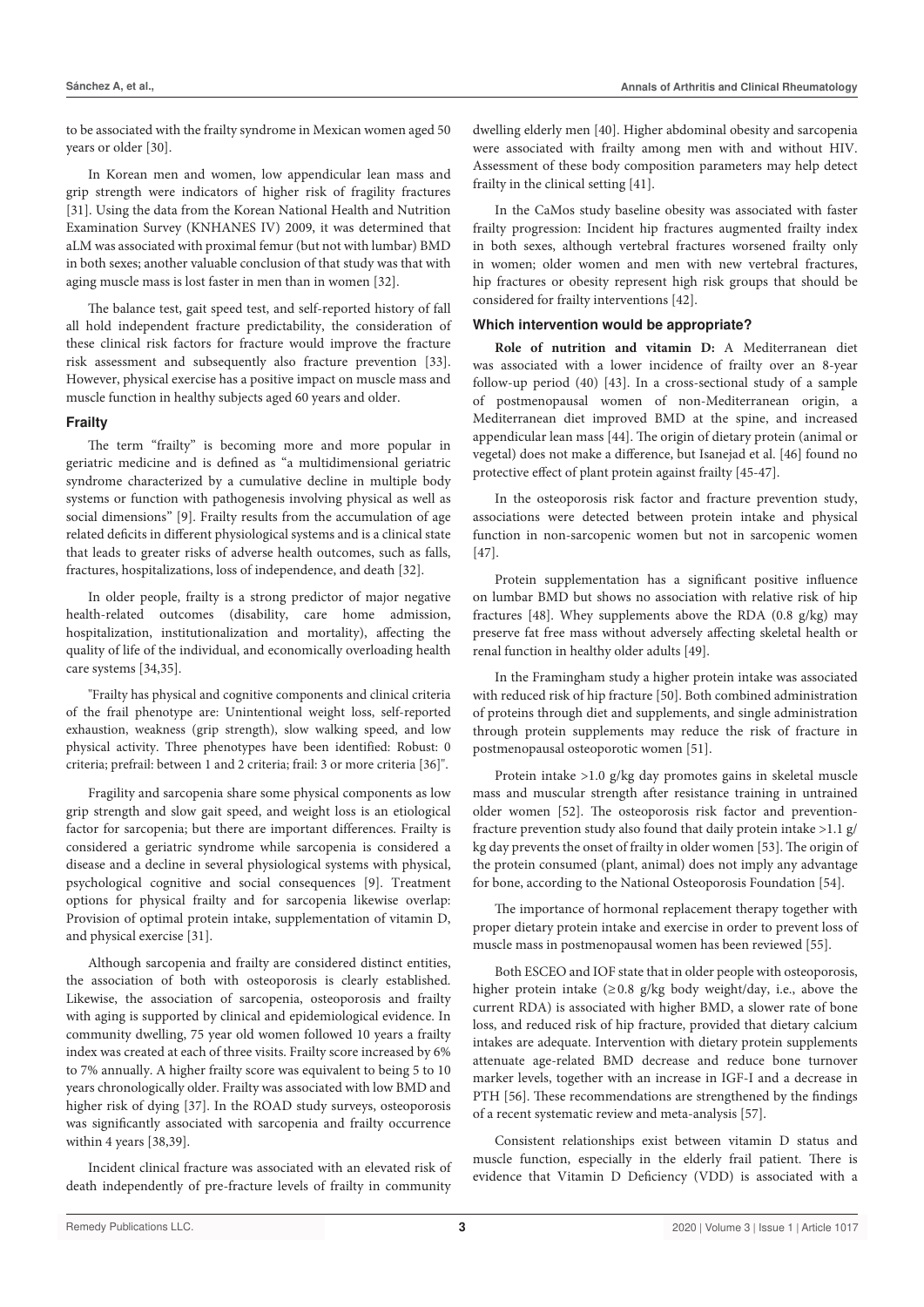to be associated with the frailty syndrome in Mexican women aged 50 years or older [30].

In Korean men and women, low appendicular lean mass and grip strength were indicators of higher risk of fragility fractures [31]. Using the data from the Korean National Health and Nutrition Examination Survey (KNHANES IV) 2009, it was determined that aLM was associated with proximal femur (but not with lumbar) BMD in both sexes; another valuable conclusion of that study was that with aging muscle mass is lost faster in men than in women [32].

The balance test, gait speed test, and self-reported history of fall all hold independent fracture predictability, the consideration of these clinical risk factors for fracture would improve the fracture risk assessment and subsequently also fracture prevention [33]. However, physical exercise has a positive impact on muscle mass and muscle function in healthy subjects aged 60 years and older.

## **Frailty**

The term "frailty" is becoming more and more popular in geriatric medicine and is defined as "a multidimensional geriatric syndrome characterized by a cumulative decline in multiple body systems or function with pathogenesis involving physical as well as social dimensions" [9]. Frailty results from the accumulation of age related deficits in different physiological systems and is a clinical state that leads to greater risks of adverse health outcomes, such as falls, fractures, hospitalizations, loss of independence, and death [32].

In older people, frailty is a strong predictor of major negative health-related outcomes (disability, care home admission, hospitalization, institutionalization and mortality), affecting the quality of life of the individual, and economically overloading health care systems [34,35].

"Frailty has physical and cognitive components and clinical criteria of the frail phenotype are: Unintentional weight loss, self-reported exhaustion, weakness (grip strength), slow walking speed, and low physical activity. Three phenotypes have been identified: Robust: 0 criteria; prefrail: between 1 and 2 criteria; frail: 3 or more criteria [36]".

Fragility and sarcopenia share some physical components as low grip strength and slow gait speed, and weight loss is an etiological factor for sarcopenia; but there are important differences. Frailty is considered a geriatric syndrome while sarcopenia is considered a disease and a decline in several physiological systems with physical, psychological cognitive and social consequences [9]. Treatment options for physical frailty and for sarcopenia likewise overlap: Provision of optimal protein intake, supplementation of vitamin D, and physical exercise [31].

Although sarcopenia and frailty are considered distinct entities, the association of both with osteoporosis is clearly established. Likewise, the association of sarcopenia, osteoporosis and frailty with aging is supported by clinical and epidemiological evidence. In community dwelling, 75 year old women followed 10 years a frailty index was created at each of three visits. Frailty score increased by 6% to 7% annually. A higher frailty score was equivalent to being 5 to 10 years chronologically older. Frailty was associated with low BMD and higher risk of dying [37]. In the ROAD study surveys, osteoporosis was significantly associated with sarcopenia and frailty occurrence within 4 years [38,39].

Incident clinical fracture was associated with an elevated risk of death independently of pre-fracture levels of frailty in community dwelling elderly men [40]. Higher abdominal obesity and sarcopenia were associated with frailty among men with and without HIV. Assessment of these body composition parameters may help detect frailty in the clinical setting [41].

In the CaMos study baseline obesity was associated with faster frailty progression: Incident hip fractures augmented frailty index in both sexes, although vertebral fractures worsened frailty only in women; older women and men with new vertebral fractures, hip fractures or obesity represent high risk groups that should be considered for frailty interventions [42].

#### **Which intervention would be appropriate?**

**Role of nutrition and vitamin D:** A Mediterranean diet was associated with a lower incidence of frailty over an 8-year follow-up period (40) [43]. In a cross-sectional study of a sample of postmenopausal women of non-Mediterranean origin, a Mediterranean diet improved BMD at the spine, and increased appendicular lean mass [44]. The origin of dietary protein (animal or vegetal) does not make a difference, but Isanejad et al. [46] found no protective effect of plant protein against frailty [45-47].

In the osteoporosis risk factor and fracture prevention study, associations were detected between protein intake and physical function in non-sarcopenic women but not in sarcopenic women [47].

Protein supplementation has a significant positive influence on lumbar BMD but shows no association with relative risk of hip fractures [48]. Whey supplements above the RDA (0.8 g/kg) may preserve fat free mass without adversely affecting skeletal health or renal function in healthy older adults [49].

In the Framingham study a higher protein intake was associated with reduced risk of hip fracture [50]. Both combined administration of proteins through diet and supplements, and single administration through protein supplements may reduce the risk of fracture in postmenopausal osteoporotic women [51].

Protein intake >1.0 g/kg day promotes gains in skeletal muscle mass and muscular strength after resistance training in untrained older women [52]. The osteoporosis risk factor and preventionfracture prevention study also found that daily protein intake >1.1 g/ kg day prevents the onset of frailty in older women [53]. The origin of the protein consumed (plant, animal) does not imply any advantage for bone, according to the National Osteoporosis Foundation [54].

The importance of hormonal replacement therapy together with proper dietary protein intake and exercise in order to prevent loss of muscle mass in postmenopausal women has been reviewed [55].

Both ESCEO and IOF state that in older people with osteoporosis, higher protein intake  $(\geq 0.8 \text{ g/kg}$  body weight/day, i.e., above the current RDA) is associated with higher BMD, a slower rate of bone loss, and reduced risk of hip fracture, provided that dietary calcium intakes are adequate. Intervention with dietary protein supplements attenuate age-related BMD decrease and reduce bone turnover marker levels, together with an increase in IGF-I and a decrease in PTH [56]. These recommendations are strengthened by the findings of a recent systematic review and meta-analysis [57].

Consistent relationships exist between vitamin D status and muscle function, especially in the elderly frail patient. There is evidence that Vitamin D Deficiency (VDD) is associated with a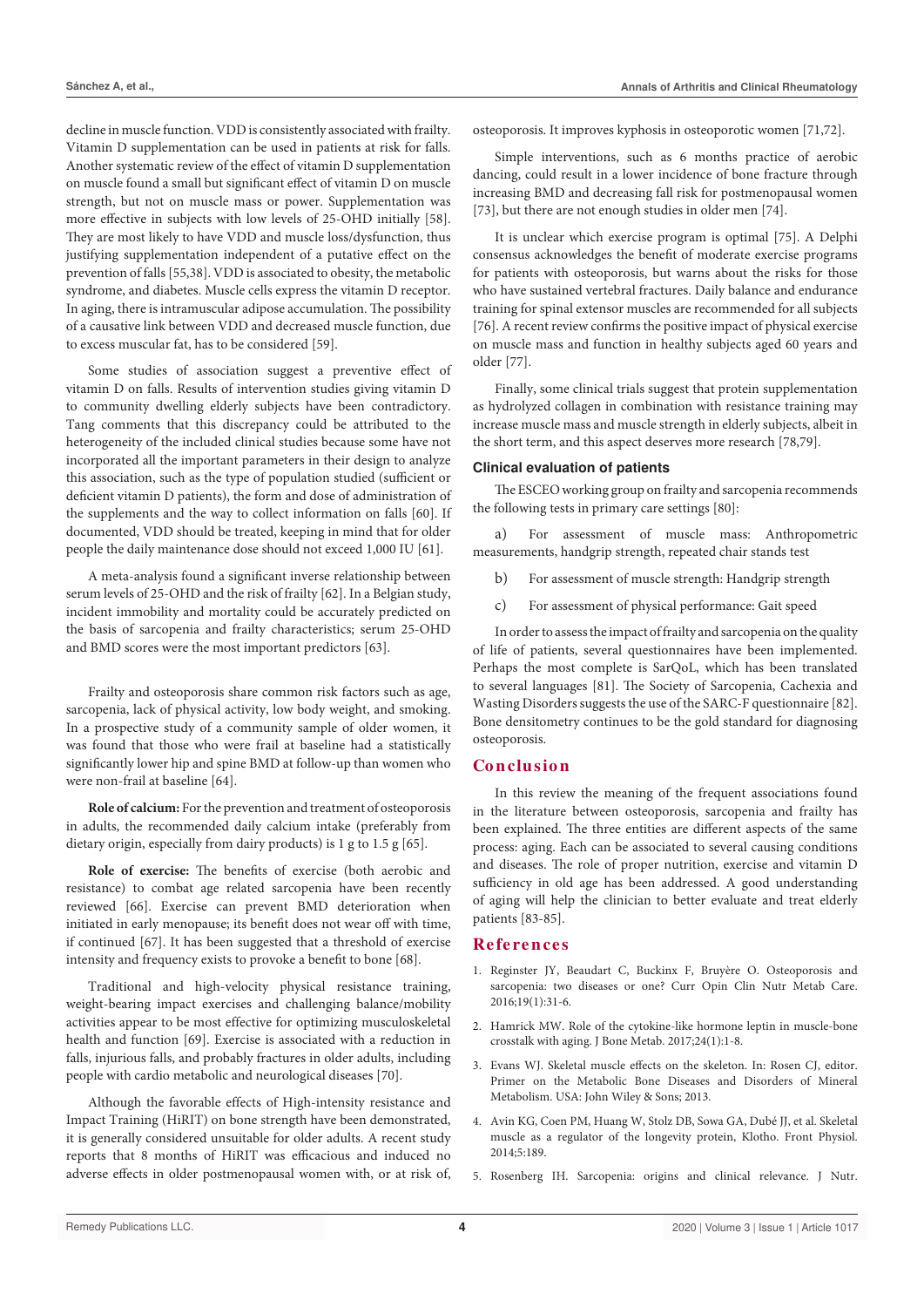decline in muscle function. VDD is consistently associated with frailty. Vitamin D supplementation can be used in patients at risk for falls. Another systematic review of the effect of vitamin D supplementation on muscle found a small but significant effect of vitamin D on muscle strength, but not on muscle mass or power. Supplementation was more effective in subjects with low levels of 25-OHD initially [58]. They are most likely to have VDD and muscle loss/dysfunction, thus justifying supplementation independent of a putative effect on the prevention of falls [55,38]. VDD is associated to obesity, the metabolic syndrome, and diabetes. Muscle cells express the vitamin D receptor. In aging, there is intramuscular adipose accumulation. The possibility of a causative link between VDD and decreased muscle function, due to excess muscular fat, has to be considered [59].

Some studies of association suggest a preventive effect of vitamin D on falls. Results of intervention studies giving vitamin D to community dwelling elderly subjects have been contradictory. Tang comments that this discrepancy could be attributed to the heterogeneity of the included clinical studies because some have not incorporated all the important parameters in their design to analyze this association, such as the type of population studied (sufficient or deficient vitamin D patients), the form and dose of administration of the supplements and the way to collect information on falls [60]. If documented, VDD should be treated, keeping in mind that for older people the daily maintenance dose should not exceed 1,000 IU [61].

A meta-analysis found a significant inverse relationship between serum levels of 25-OHD and the risk of frailty [62]. In a Belgian study, incident immobility and mortality could be accurately predicted on the basis of sarcopenia and frailty characteristics; serum 25-OHD and BMD scores were the most important predictors [63].

Frailty and osteoporosis share common risk factors such as age, sarcopenia, lack of physical activity, low body weight, and smoking. In a prospective study of a community sample of older women, it was found that those who were frail at baseline had a statistically significantly lower hip and spine BMD at follow-up than women who were non-frail at baseline [64].

**Role of calcium:** For the prevention and treatment of osteoporosis in adults, the recommended daily calcium intake (preferably from dietary origin, especially from dairy products) is 1 g to 1.5 g [65].

**Role of exercise:** The benefits of exercise (both aerobic and resistance) to combat age related sarcopenia have been recently reviewed [66]. Exercise can prevent BMD deterioration when initiated in early menopause; its benefit does not wear off with time, if continued [67]. It has been suggested that a threshold of exercise intensity and frequency exists to provoke a benefit to bone [68].

Traditional and high-velocity physical resistance training, weight-bearing impact exercises and challenging balance/mobility activities appear to be most effective for optimizing musculoskeletal health and function [69]. Exercise is associated with a reduction in falls, injurious falls, and probably fractures in older adults, including people with cardio metabolic and neurological diseases [70].

Although the favorable effects of High-intensity resistance and Impact Training (HiRIT) on bone strength have been demonstrated, it is generally considered unsuitable for older adults. A recent study reports that 8 months of HiRIT was efficacious and induced no adverse effects in older postmenopausal women with, or at risk of, osteoporosis. It improves kyphosis in osteoporotic women [71,72].

Simple interventions, such as 6 months practice of aerobic dancing, could result in a lower incidence of bone fracture through increasing BMD and decreasing fall risk for postmenopausal women [73], but there are not enough studies in older men [74].

It is unclear which exercise program is optimal [75]. A Delphi consensus acknowledges the benefit of moderate exercise programs for patients with osteoporosis, but warns about the risks for those who have sustained vertebral fractures. Daily balance and endurance training for spinal extensor muscles are recommended for all subjects [76]. A recent review confirms the positive impact of physical exercise on muscle mass and function in healthy subjects aged 60 years and older [77].

Finally, some clinical trials suggest that protein supplementation as hydrolyzed collagen in combination with resistance training may increase muscle mass and muscle strength in elderly subjects, albeit in the short term, and this aspect deserves more research [78,79].

### **Clinical evaluation of patients**

The ESCEO working group on frailty and sarcopenia recommends the following tests in primary care settings [80]:

a) For assessment of muscle mass: Anthropometric measurements, handgrip strength, repeated chair stands test

- b) For assessment of muscle strength: Handgrip strength
- c) For assessment of physical performance: Gait speed

In order to assess the impact of frailty and sarcopenia on the quality of life of patients, several questionnaires have been implemented. Perhaps the most complete is SarQoL, which has been translated to several languages [81]. The Society of Sarcopenia, Cachexia and Wasting Disorders suggests the use of the SARC-F questionnaire [82]. Bone densitometry continues to be the gold standard for diagnosing osteoporosis.

## **Co n clusio n**

In this review the meaning of the frequent associations found in the literature between osteoporosis, sarcopenia and frailty has been explained. The three entities are different aspects of the same process: aging. Each can be associated to several causing conditions and diseases. The role of proper nutrition, exercise and vitamin D sufficiency in old age has been addressed. A good understanding of aging will help the clinician to better evaluate and treat elderly patients [83-85].

#### **Re fe re n ce s**

- 1. Reginster JY, Beaudart C, Buckinx F, Bruyère O. Osteoporosis and sarcopenia: two diseases or one? Curr Opin Clin Nutr Metab Care. 2016;19(1):31-6.
- 2. Hamrick MW. Role of the cytokine-like hormone leptin in muscle-bone crosstalk with aging. J Bone Metab. 2017;24(1):1-8.
- 3. Evans WJ. Skeletal muscle effects on the skeleton. In: Rosen CJ, editor. Primer on the Metabolic Bone Diseases and Disorders of Mineral Metabolism. USA: John Wiley & Sons; 2013.
- 4. Avin KG, Coen PM, Huang W, Stolz DB, Sowa GA, Dubé JJ, et al. Skeletal muscle as a regulator of the longevity protein, Klotho. Front Physiol. 2014;5:189.
- 5. Rosenberg IH. Sarcopenia: origins and clinical relevance. J Nutr.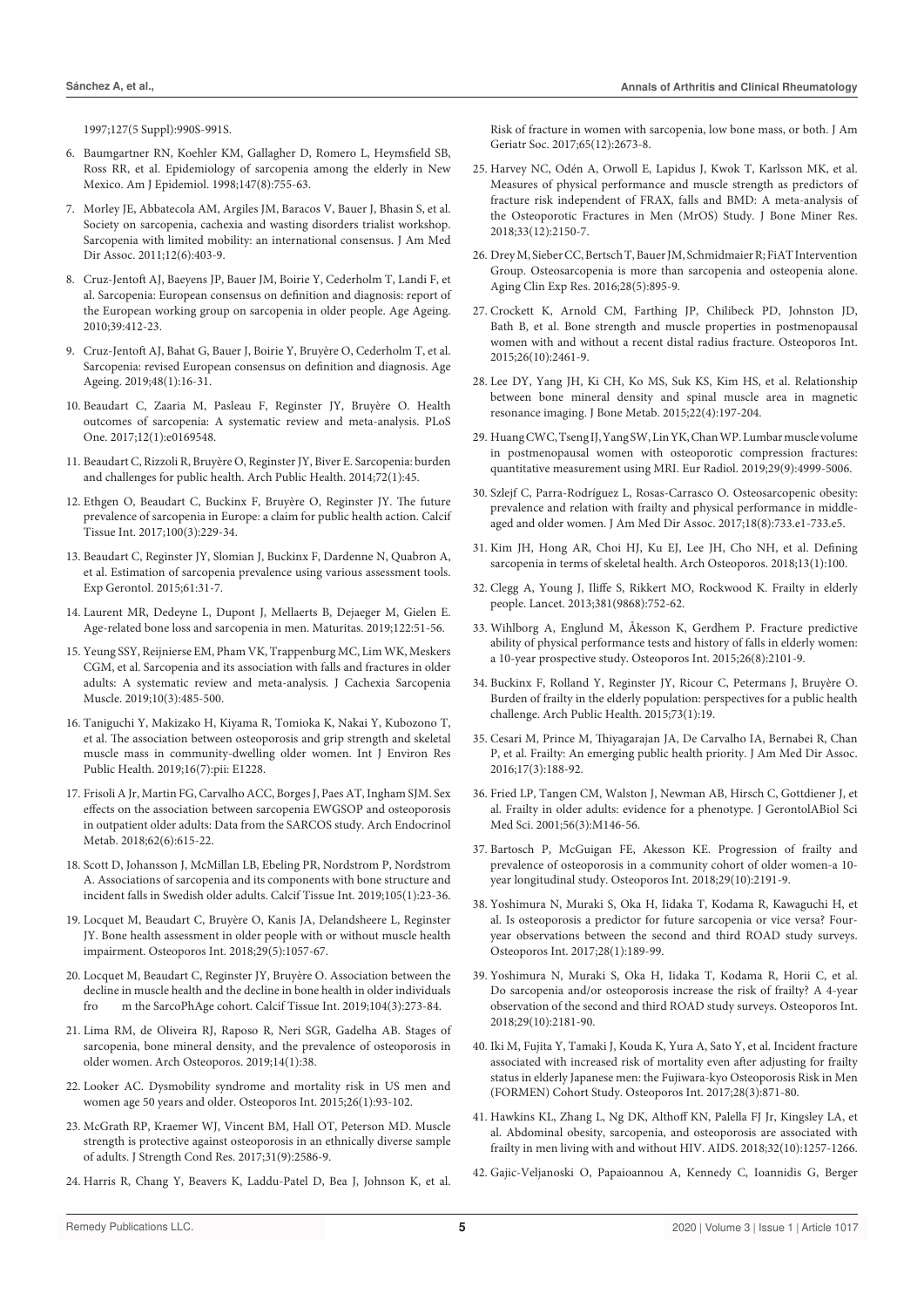1997;127(5 Suppl):990S-991S.

- 6. Baumgartner RN, Koehler KM, Gallagher D, Romero L, Heymsfield SB, Ross RR, et al. Epidemiology of sarcopenia among the elderly in New Mexico. Am J Epidemiol. 1998;147(8):755-63.
- 7. Morley JE, Abbatecola AM, Argiles JM, Baracos V, Bauer J, Bhasin S, et al. Society on sarcopenia, cachexia and wasting disorders trialist workshop. Sarcopenia with limited mobility: an international consensus. J Am Med Dir Assoc. 2011;12(6):403-9.
- 8. Cruz-Jentoft AJ, Baeyens JP, Bauer JM, Boirie Y, Cederholm T, Landi F, et al. Sarcopenia: European consensus on definition and diagnosis: report of the European working group on sarcopenia in older people. Age Ageing. 2010;39:412-23.
- 9. Cruz-Jentoft AJ, Bahat G, Bauer J, Boirie Y, Bruyère O, Cederholm T, et al. Sarcopenia: revised European consensus on definition and diagnosis. Age Ageing. 2019;48(1):16-31.
- 10. Beaudart C, Zaaria M, Pasleau F, Reginster JY, Bruyère O. Health outcomes of sarcopenia: A systematic review and meta-analysis. PLoS One. 2017;12(1):e0169548.
- 11. Beaudart C, Rizzoli R, Bruyère O, Reginster JY, Biver E. Sarcopenia: burden and challenges for public health. Arch Public Health. 2014;72(1):45.
- 12. Ethgen O, Beaudart C, Buckinx F, Bruyère O, Reginster JY. The future prevalence of sarcopenia in Europe: a claim for public health action. Calcif Tissue Int. 2017;100(3):229-34.
- 13. Beaudart C, Reginster JY, Slomian J, Buckinx F, Dardenne N, Quabron A, et al. Estimation of sarcopenia prevalence using various assessment tools. Exp Gerontol. 2015;61:31-7.
- 14. Laurent MR, Dedeyne L, Dupont J, Mellaerts B, Dejaeger M, Gielen E. Age-related bone loss and sarcopenia in men. Maturitas. 2019;122:51-56.
- 15. Yeung SSY, Reijnierse EM, Pham VK, Trappenburg MC, Lim WK, Meskers CGM, et al. Sarcopenia and its association with falls and fractures in older adults: A systematic review and meta-analysis. J Cachexia Sarcopenia Muscle. 2019;10(3):485-500.
- 16. Taniguchi Y, Makizako H, Kiyama R, Tomioka K, Nakai Y, Kubozono T, et al. The association between osteoporosis and grip strength and skeletal muscle mass in community-dwelling older women. Int J Environ Res Public Health. 2019;16(7):pii: E1228.
- 17. Frisoli A Jr, Martin FG, Carvalho ACC, Borges J, Paes AT, Ingham SJM. Sex effects on the association between sarcopenia EWGSOP and osteoporosis in outpatient older adults: Data from the SARCOS study. Arch Endocrinol Metab. 2018;62(6):615-22.
- 18. Scott D, Johansson J, McMillan LB, Ebeling PR, Nordstrom P, Nordstrom A. Associations of sarcopenia and its components with bone structure and incident falls in Swedish older adults. Calcif Tissue Int. 2019;105(1):23-36.
- 19. Locquet M, Beaudart C, Bruyère O, Kanis JA, Delandsheere L, Reginster JY. Bone health assessment in older people with or without muscle health impairment. Osteoporos Int. 2018;29(5):1057-67.
- 20. Locquet M, Beaudart C, Reginster JY, Bruyère O. Association between the decline in muscle health and the decline in bone health in older individuals fro m the SarcoPhAge cohort. Calcif Tissue Int. 2019;104(3):273-84.
- 21. Lima RM, de Oliveira RJ, Raposo R, Neri SGR, Gadelha AB. Stages of sarcopenia, bone mineral density, and the prevalence of osteoporosis in older women. Arch Osteoporos. 2019;14(1):38.
- 22. Looker AC. Dysmobility syndrome and mortality risk in US men and women age 50 years and older. Osteoporos Int. 2015;26(1):93-102.
- 23. McGrath RP, Kraemer WJ, Vincent BM, Hall OT, Peterson MD. Muscle strength is protective against osteoporosis in an ethnically diverse sample of adults. J Strength Cond Res. 2017;31(9):2586-9.
- 24. Harris R, Chang Y, Beavers K, Laddu-Patel D, Bea J, Johnson K, et al.

Risk of fracture in women with sarcopenia, low bone mass, or both. J Am Geriatr Soc. 2017;65(12):2673-8.

- 25. Harvey NC, Odén A, Orwoll E, Lapidus J, Kwok T, Karlsson MK, et al. Measures of physical performance and muscle strength as predictors of fracture risk independent of FRAX, falls and BMD: A meta-analysis of the Osteoporotic Fractures in Men (MrOS) Study. J Bone Miner Res. 2018;33(12):2150-7.
- 26. Drey M, Sieber CC, Bertsch T, Bauer JM, Schmidmaier R; FiAT Intervention Group. Osteosarcopenia is more than sarcopenia and osteopenia alone. Aging Clin Exp Res. 2016;28(5):895-9.
- 27. Crockett K, Arnold CM, Farthing JP, Chilibeck PD, Johnston JD, Bath B, et al. Bone strength and muscle properties in postmenopausal women with and without a recent distal radius fracture. Osteoporos Int. 2015;26(10):2461-9.
- 28. Lee DY, Yang JH, Ki CH, Ko MS, Suk KS, Kim HS, et al. Relationship between bone mineral density and spinal muscle area in magnetic resonance imaging. J Bone Metab. 2015;22(4):197-204.
- 29. Huang CWC, Tseng IJ, Yang SW, Lin YK, Chan WP. Lumbar muscle volume in postmenopausal women with osteoporotic compression fractures: quantitative measurement using MRI. Eur Radiol. 2019;29(9):4999-5006.
- 30. Szlejf C, Parra-Rodríguez L, Rosas-Carrasco O. Osteosarcopenic obesity: prevalence and relation with frailty and physical performance in middleaged and older women. J Am Med Dir Assoc. 2017;18(8):733.e1-733.e5.
- 31. Kim JH, Hong AR, Choi HJ, Ku EJ, Lee JH, Cho NH, et al. Defining sarcopenia in terms of skeletal health. Arch Osteoporos. 2018;13(1):100.
- 32. Clegg A, Young J, Iliffe S, Rikkert MO, Rockwood K. Frailty in elderly people. Lancet. 2013;381(9868):752-62.
- 33. Wihlborg A, Englund M, Åkesson K, Gerdhem P. Fracture predictive ability of physical performance tests and history of falls in elderly women: a 10-year prospective study. Osteoporos Int. 2015;26(8):2101-9.
- 34. Buckinx F, Rolland Y, Reginster JY, Ricour C, Petermans J, Bruyère O. Burden of frailty in the elderly population: perspectives for a public health challenge. Arch Public Health. 2015;73(1):19.
- 35. Cesari M, Prince M, Thiyagarajan JA, De Carvalho IA, Bernabei R, Chan P, et al. Frailty: An emerging public health priority. J Am Med Dir Assoc. 2016;17(3):188-92.
- 36. Fried LP, Tangen CM, Walston J, Newman AB, Hirsch C, Gottdiener J, et al. Frailty in older adults: evidence for a phenotype. J GerontolABiol Sci Med Sci. 2001;56(3):M146-56.
- 37. Bartosch P, McGuigan FE, Akesson KE. Progression of frailty and prevalence of osteoporosis in a community cohort of older women-a 10 year longitudinal study. Osteoporos Int. 2018;29(10):2191-9.
- 38. Yoshimura N, Muraki S, Oka H, Iidaka T, Kodama R, Kawaguchi H, et al. Is osteoporosis a predictor for future sarcopenia or vice versa? Fouryear observations between the second and third ROAD study surveys. Osteoporos Int. 2017;28(1):189-99.
- 39. Yoshimura N, Muraki S, Oka H, Iidaka T, Kodama R, Horii C, et al. Do sarcopenia and/or osteoporosis increase the risk of frailty? A 4-year observation of the second and third ROAD study surveys. Osteoporos Int. 2018;29(10):2181-90.
- 40. Iki M, Fujita Y, Tamaki J, Kouda K, Yura A, Sato Y, et al. Incident fracture associated with increased risk of mortality even after adjusting for frailty status in elderly Japanese men: the Fujiwara-kyo Osteoporosis Risk in Men (FORMEN) Cohort Study. Osteoporos Int. 2017;28(3):871-80.
- 41. Hawkins KL, Zhang L, Ng DK, Althoff KN, Palella FJ Jr, Kingsley LA, et al. Abdominal obesity, sarcopenia, and osteoporosis are associated with frailty in men living with and without HIV. AIDS. 2018;32(10):1257-1266.
- 42. Gajic-Veljanoski O, Papaioannou A, Kennedy C, Ioannidis G, Berger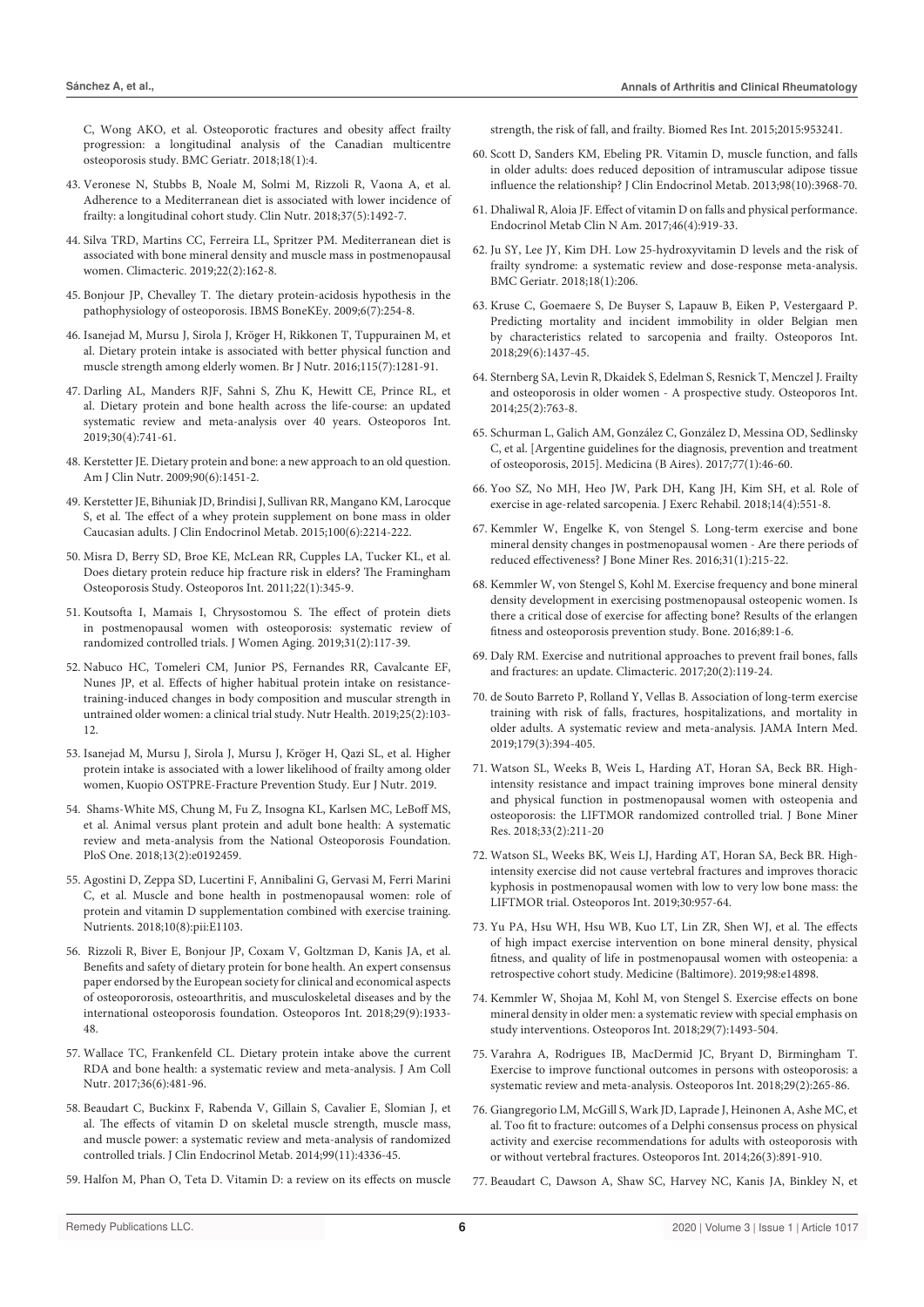C, Wong AKO, et al. Osteoporotic fractures and obesity affect frailty progression: a longitudinal analysis of the Canadian multicentre osteoporosis study. BMC Geriatr. 2018;18(1):4.

- 43. Veronese N, Stubbs B, Noale M, Solmi M, Rizzoli R, Vaona A, et al. Adherence to a Mediterranean diet is associated with lower incidence of frailty: a longitudinal cohort study. Clin Nutr. 2018;37(5):1492-7.
- 44. Silva TRD, Martins CC, Ferreira LL, Spritzer PM. Mediterranean diet is associated with bone mineral density and muscle mass in postmenopausal women. Climacteric. 2019;22(2):162-8.
- 45. Bonjour JP, Chevalley T. The dietary protein-acidosis hypothesis in the pathophysiology of osteoporosis. IBMS BoneKEy. 2009;6(7):254-8.
- 46. Isanejad M, Mursu J, Sirola J, Kröger H, Rikkonen T, Tuppurainen M, et al. Dietary protein intake is associated with better physical function and muscle strength among elderly women. Br J Nutr. 2016;115(7):1281-91.
- 47. Darling AL, Manders RJF, Sahni S, Zhu K, Hewitt CE, Prince RL, et al. Dietary protein and bone health across the life-course: an updated systematic review and meta-analysis over 40 years. Osteoporos Int. 2019;30(4):741-61.
- 48. Kerstetter JE. Dietary protein and bone: a new approach to an old question. Am J Clin Nutr. 2009;90(6):1451-2.
- 49. Kerstetter JE, Bihuniak JD, Brindisi J, Sullivan RR, Mangano KM, Larocque S, et al. The effect of a whey protein supplement on bone mass in older Caucasian adults. J Clin Endocrinol Metab. 2015;100(6):2214-222.
- 50. Misra D, Berry SD, Broe KE, McLean RR, Cupples LA, Tucker KL, et al. Does dietary protein reduce hip fracture risk in elders? The Framingham Osteoporosis Study. Osteoporos Int. 2011;22(1):345-9.
- 51. Koutsofta I, Mamais I, Chrysostomou S. The effect of protein diets in postmenopausal women with osteoporosis: systematic review of randomized controlled trials. J Women Aging. 2019;31(2):117-39.
- 52. Nabuco HC, Tomeleri CM, Junior PS, Fernandes RR, Cavalcante EF, Nunes JP, et al. Effects of higher habitual protein intake on resistancetraining-induced changes in body composition and muscular strength in untrained older women: a clinical trial study. Nutr Health. 2019;25(2):103- 12.
- 53. Isanejad M, Mursu J, Sirola J, Mursu J, Kröger H, Qazi SL, et al. Higher protein intake is associated with a lower likelihood of frailty among older women, Kuopio OSTPRE-Fracture Prevention Study. Eur J Nutr. 2019.
- 54. Shams-White MS, Chung M, Fu Z, Insogna KL, Karlsen MC, LeBoff MS, et al. Animal versus plant protein and adult bone health: A systematic review and meta-analysis from the National Osteoporosis Foundation. PloS One. 2018;13(2):e0192459.
- 55. Agostini D, Zeppa SD, Lucertini F, Annibalini G, Gervasi M, Ferri Marini C, et al. Muscle and bone health in postmenopausal women: role of protein and vitamin D supplementation combined with exercise training. Nutrients. 2018;10(8):pii:E1103.
- 56. Rizzoli R, Biver E, Bonjour JP, Coxam V, Goltzman D, Kanis JA, et al. Benefits and safety of dietary protein for bone health. An expert consensus paper endorsed by the European society for clinical and economical aspects of osteopororosis, osteoarthritis, and musculoskeletal diseases and by the international osteoporosis foundation. Osteoporos Int. 2018;29(9):1933- 48.
- 57. Wallace TC, Frankenfeld CL. Dietary protein intake above the current RDA and bone health: a systematic review and meta-analysis. J Am Coll Nutr. 2017;36(6):481-96.
- 58. Beaudart C, Buckinx F, Rabenda V, Gillain S, Cavalier E, Slomian J, et al. The effects of vitamin D on skeletal muscle strength, muscle mass, and muscle power: a systematic review and meta-analysis of randomized controlled trials. J Clin Endocrinol Metab. 2014;99(11):4336-45.
- 59. Halfon M, Phan O, Teta D. Vitamin D: a review on its effects on muscle

strength, the risk of fall, and frailty. Biomed Res Int. 2015;2015:953241.

- 60. Scott D, Sanders KM, Ebeling PR. Vitamin D, muscle function, and falls in older adults: does reduced deposition of intramuscular adipose tissue influence the relationship? J Clin Endocrinol Metab. 2013;98(10):3968-70.
- 61. Dhaliwal R, Aloia JF. Effect of vitamin D on falls and physical performance. Endocrinol Metab Clin N Am. 2017;46(4):919-33.
- 62. Ju SY, Lee JY, Kim DH. Low 25-hydroxyvitamin D levels and the risk of frailty syndrome: a systematic review and dose-response meta-analysis. BMC Geriatr. 2018;18(1):206.
- 63. Kruse C, Goemaere S, De Buyser S, Lapauw B, Eiken P, Vestergaard P. Predicting mortality and incident immobility in older Belgian men by characteristics related to sarcopenia and frailty. Osteoporos Int. 2018;29(6):1437-45.
- 64. Sternberg SA, Levin R, Dkaidek S, Edelman S, Resnick T, Menczel J. Frailty and osteoporosis in older women - A prospective study. Osteoporos Int. 2014;25(2):763-8.
- 65. Schurman L, Galich AM, González C, González D, Messina OD, Sedlinsky C, et al. [Argentine guidelines for the diagnosis, prevention and treatment of osteoporosis, 2015]. Medicina (B Aires). 2017;77(1):46-60.
- 66. Yoo SZ, No MH, Heo JW, Park DH, Kang JH, Kim SH, et al. Role of exercise in age-related sarcopenia. J Exerc Rehabil. 2018;14(4):551-8.
- 67. Kemmler W, Engelke K, von Stengel S. Long-term exercise and bone mineral density changes in postmenopausal women - Are there periods of reduced effectiveness? J Bone Miner Res. 2016;31(1):215-22.
- 68. Kemmler W, von Stengel S, Kohl M. Exercise frequency and bone mineral density development in exercising postmenopausal osteopenic women. Is there a critical dose of exercise for affecting bone? Results of the erlangen fitness and osteoporosis prevention study. Bone. 2016;89:1-6.
- 69. Daly RM. Exercise and nutritional approaches to prevent frail bones, falls and fractures: an update. Climacteric. 2017;20(2):119-24.
- 70. de Souto Barreto P, Rolland Y, Vellas B. Association of long-term exercise training with risk of falls, fractures, hospitalizations, and mortality in older adults. A systematic review and meta-analysis. JAMA Intern Med. 2019;179(3):394-405.
- 71. Watson SL, Weeks B, Weis L, Harding AT, Horan SA, Beck BR. Highintensity resistance and impact training improves bone mineral density and physical function in postmenopausal women with osteopenia and osteoporosis: the LIFTMOR randomized controlled trial. J Bone Miner Res. 2018;33(2):211-20
- 72. Watson SL, Weeks BK, Weis LJ, Harding AT, Horan SA, Beck BR. Highintensity exercise did not cause vertebral fractures and improves thoracic kyphosis in postmenopausal women with low to very low bone mass: the LIFTMOR trial. Osteoporos Int. 2019;30:957-64.
- 73. Yu PA, Hsu WH, Hsu WB, Kuo LT, Lin ZR, Shen WJ, et al. The effects of high impact exercise intervention on bone mineral density, physical fitness, and quality of life in postmenopausal women with osteopenia: a retrospective cohort study. Medicine (Baltimore). 2019;98:e14898.
- 74. Kemmler W, Shojaa M, Kohl M, von Stengel S. Exercise effects on bone mineral density in older men: a systematic review with special emphasis on study interventions. Osteoporos Int. 2018;29(7):1493-504.
- 75. Varahra A, Rodrigues IB, MacDermid JC, Bryant D, Birmingham T. Exercise to improve functional outcomes in persons with osteoporosis: a systematic review and meta-analysis. Osteoporos Int. 2018;29(2):265-86.
- 76. Giangregorio LM, McGill S, Wark JD, Laprade J, Heinonen A, Ashe MC, et al. Too fit to fracture: outcomes of a Delphi consensus process on physical activity and exercise recommendations for adults with osteoporosis with or without vertebral fractures. Osteoporos Int. 2014;26(3):891-910.
- 77. Beaudart C, Dawson A, Shaw SC, Harvey NC, Kanis JA, Binkley N, et